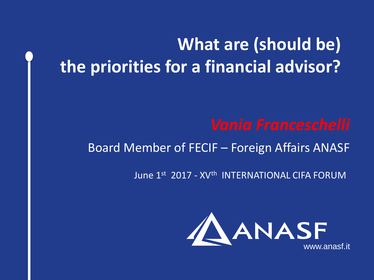# **What are (should be) the priorities for a financial advisor?**

# Board Member of FECIF – Foreign Affairs ANASF

# June 1st 2017 - XV<sup>th</sup> INTERNATIONAL CIFA FORUM

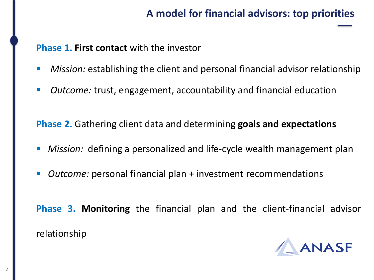# **A model for financial advisors: top priorities**

### **Phase 1. First contact** with the investor

- *Mission:* establishing the client and personal financial advisor relationship
- *Outcome:* trust, engagement, accountability and financial education

**Phase 2.** Gathering client data and determining **goals and expectations**

- *Mission:* defining a personalized and life-cycle wealth management plan
- *Outcome:* personal financial plan + investment recommendations
- **Phase 3. Monitoring** the financial plan and the client-financial advisor relationship

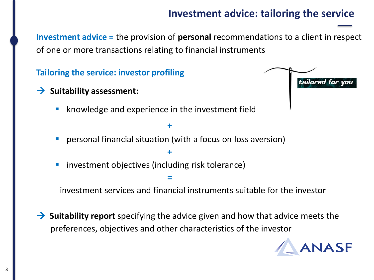# **Investment advice: tailoring the service**

**Let investment advice = the provision of <b>personal** recommendations to a client in respect of one or more transactions relating to financial instruments

**Tailoring the service: investor profiling**

- $\rightarrow$  Suitability assessment:
	- knowledge and experience in the investment field
	- **personal financial situation (with a focus on loss aversion)**

**+**

**=**

**+** 

■ investment objectives (including risk tolerance)

investment services and financial instruments suitable for the investor

 **Suitability report** specifying the advice given and how that advice meets the preferences, objectives and other characteristics of the investor



tailored for you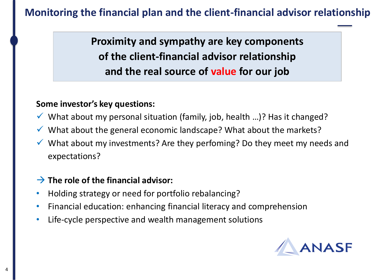# **Monitoring the financial plan and the client-financial advisor relationship**

**Le principality and sympathy are key components of the client-financial advisor relationship and the real source of value for our job**

#### **Some investor's key questions:**

- $\checkmark$  What about my personal situation (family, job, health ...)? Has it changed?
- ✓ What about the general economic landscape? What about the markets?
- $\checkmark$  What about my investments? Are they perfoming? Do they meet my needs and expectations?

### **The role of the financial advisor:**

- Holding strategy or need for portfolio rebalancing?
- Financial education: enhancing financial literacy and comprehension
- Life-cycle perspective and wealth management solutions

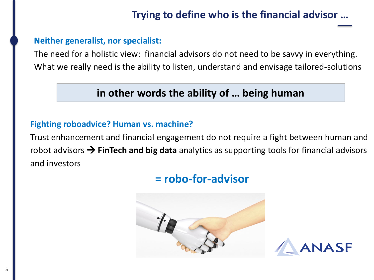# **Trying to define who is the financial advisor …**

#### **Neither generalist, nor specialist:**

The need for a holistic view: financial advisors do not need to be savvy in everything. What we really need is the ability to listen, understand and envisage tailored-solutions

## **in other words the ability of … being human**

#### **Fighting roboadvice? Human vs. machine?**

Trust enhancement and financial engagement do not require a fight between human and robot advisors **FinTech and big data** analytics as supporting tools for financial advisors and investors

# **= robo-for-advisor**



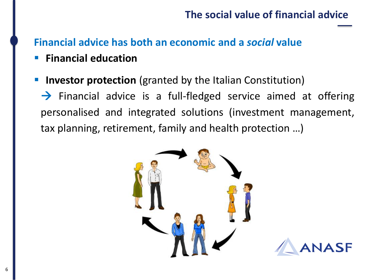## **The social value of financial advice**

# **Financial advice has both an economic and a** *social* **value**

- **Financial education**
- **E** Investor protection (granted by the Italian Constitution)

 $\rightarrow$  Financial advice is a full-fledged service aimed at offering personalised and integrated solutions (investment management, tax planning, retirement, family and health protection …)